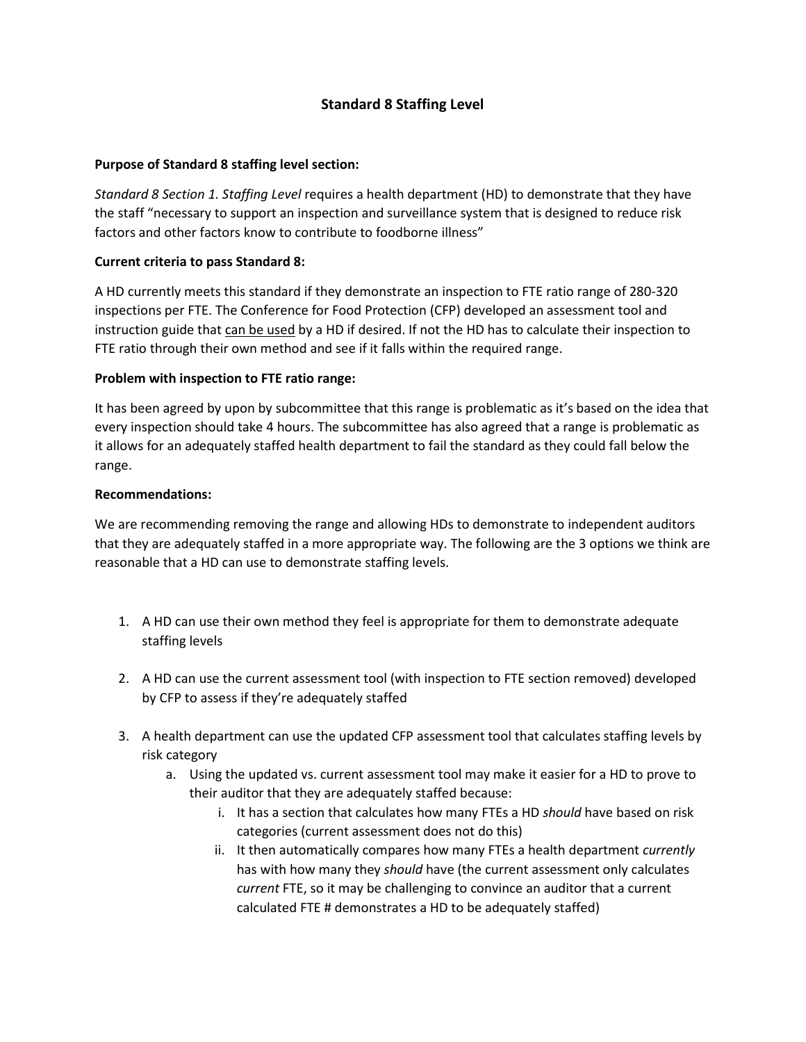# **Standard 8 Staffing Level**

### **Purpose of Standard 8 staffing level section:**

*Standard 8 Section 1. Staffing Level* requires a health department (HD) to demonstrate that they have the staff "necessary to support an inspection and surveillance system that is designed to reduce risk factors and other factors know to contribute to foodborne illness"

### **Current criteria to pass Standard 8:**

A HD currently meets this standard if they demonstrate an inspection to FTE ratio range of 280-320 inspections per FTE. The Conference for Food Protection (CFP) developed an assessment tool and instruction guide that can be used by a HD if desired. If not the HD has to calculate their inspection to FTE ratio through their own method and see if it falls within the required range.

### **Problem with inspection to FTE ratio range:**

It has been agreed by upon by subcommittee that this range is problematic as it's based on the idea that every inspection should take 4 hours. The subcommittee has also agreed that a range is problematic as it allows for an adequately staffed health department to fail the standard as they could fall below the range.

### **Recommendations:**

We are recommending removing the range and allowing HDs to demonstrate to independent auditors that they are adequately staffed in a more appropriate way. The following are the 3 options we think are reasonable that a HD can use to demonstrate staffing levels.

- 1. A HD can use their own method they feel is appropriate for them to demonstrate adequate staffing levels
- 2. A HD can use the current assessment tool (with inspection to FTE section removed) developed by CFP to assess if they're adequately staffed
- 3. A health department can use the updated CFP assessment tool that calculates staffing levels by risk category
	- a. Using the updated vs. current assessment tool may make it easier for a HD to prove to their auditor that they are adequately staffed because:
		- i. It has a section that calculates how many FTEs a HD *should* have based on risk categories (current assessment does not do this)
		- ii. It then automatically compares how many FTEs a health department *currently*  has with how many they *should* have (the current assessment only calculates *current* FTE, so it may be challenging to convince an auditor that a current calculated FTE # demonstrates a HD to be adequately staffed)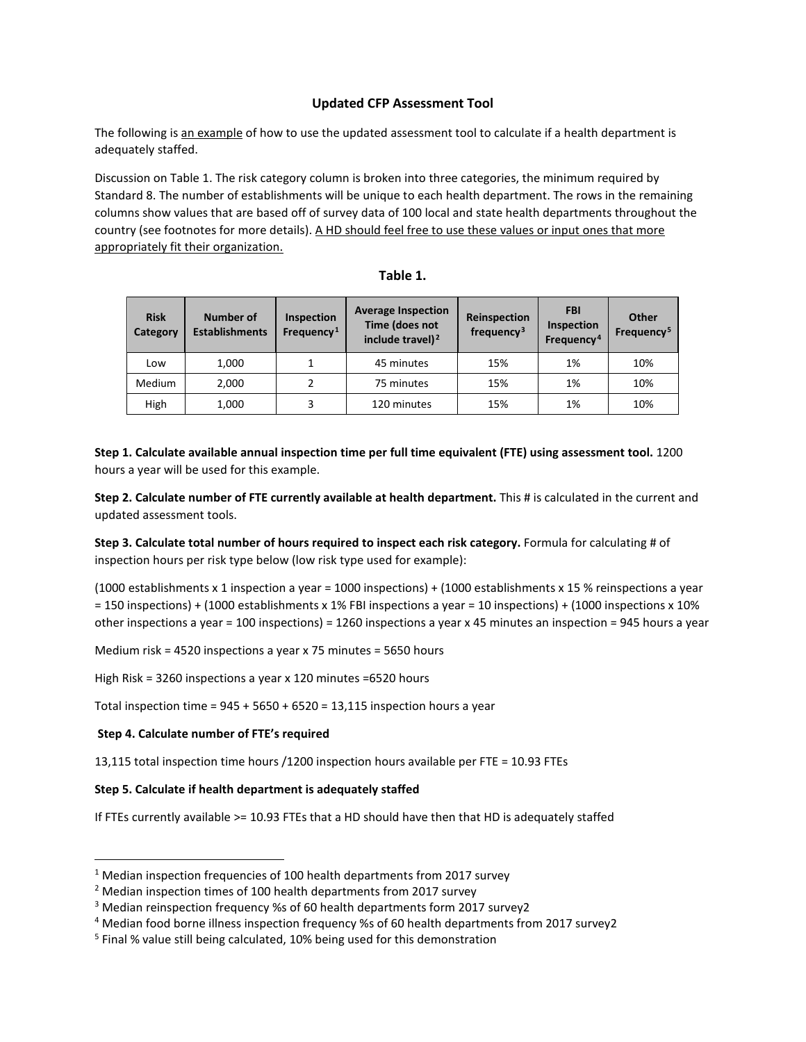#### **Updated CFP Assessment Tool**

The following is an example of how to use the updated assessment tool to calculate if a health department is adequately staffed.

Discussion on Table 1. The risk category column is broken into three categories, the minimum required by Standard 8. The number of establishments will be unique to each health department. The rows in the remaining columns show values that are based off of survey data of 100 local and state health departments throughout the country (see footnotes for more details). A HD should feel free to use these values or input ones that more appropriately fit their organization.

| <b>Risk</b><br>Category | Number of<br><b>Establishments</b> | Inspection<br>Frequency <sup>1</sup> | <b>Average Inspection</b><br>Time (does not<br>include travel) <sup>2</sup> | Reinspection<br>frequency <sup>3</sup> | <b>FBI</b><br><b>Inspection</b><br>Frequency <sup>4</sup> | Other<br>Frequency <sup>5</sup> |
|-------------------------|------------------------------------|--------------------------------------|-----------------------------------------------------------------------------|----------------------------------------|-----------------------------------------------------------|---------------------------------|
| Low                     | 1,000                              |                                      | 45 minutes                                                                  | 15%                                    | 1%                                                        | 10%                             |
| Medium                  | 2,000                              |                                      | 75 minutes                                                                  | 15%                                    | 1%                                                        | 10%                             |
| High                    | 1,000                              |                                      | 120 minutes                                                                 | 15%                                    | 1%                                                        | 10%                             |

| able |  |
|------|--|
|------|--|

**Step 1. Calculate available annual inspection time per full time equivalent (FTE) using assessment tool.** 1200 hours a year will be used for this example.

**Step 2. Calculate number of FTE currently available at health department.** This # is calculated in the current and updated assessment tools.

**Step 3. Calculate total number of hours required to inspect each risk category.** Formula for calculating # of inspection hours per risk type below (low risk type used for example):

(1000 establishments x 1 inspection a year = 1000 inspections) + (1000 establishments x 15 % reinspections a year = 150 inspections) + (1000 establishments x 1% FBI inspections a year = 10 inspections) + (1000 inspections x 10% other inspections a year = 100 inspections) = 1260 inspections a year x 45 minutes an inspection = 945 hours a year

Medium risk = 4520 inspections a year x 75 minutes = 5650 hours

High Risk = 3260 inspections a year x 120 minutes =6520 hours

Total inspection time =  $945 + 5650 + 6520 = 13,115$  inspection hours a year

#### **Step 4. Calculate number of FTE's required**

13,115 total inspection time hours /1200 inspection hours available per FTE = 10.93 FTEs

#### **Step 5. Calculate if health department is adequately staffed**

If FTEs currently available >= 10.93 FTEs that a HD should have then that HD is adequately staffed

<span id="page-1-0"></span> $1$  Median inspection frequencies of 100 health departments from 2017 survey

<span id="page-1-1"></span><sup>&</sup>lt;sup>2</sup> Median inspection times of 100 health departments from 2017 survey

<span id="page-1-2"></span><sup>3</sup> Median reinspection frequency %s of 60 health departments form 2017 survey2

<span id="page-1-3"></span><sup>4</sup> Median food borne illness inspection frequency %s of 60 health departments from 2017 survey2

<span id="page-1-4"></span><sup>&</sup>lt;sup>5</sup> Final % value still being calculated, 10% being used for this demonstration